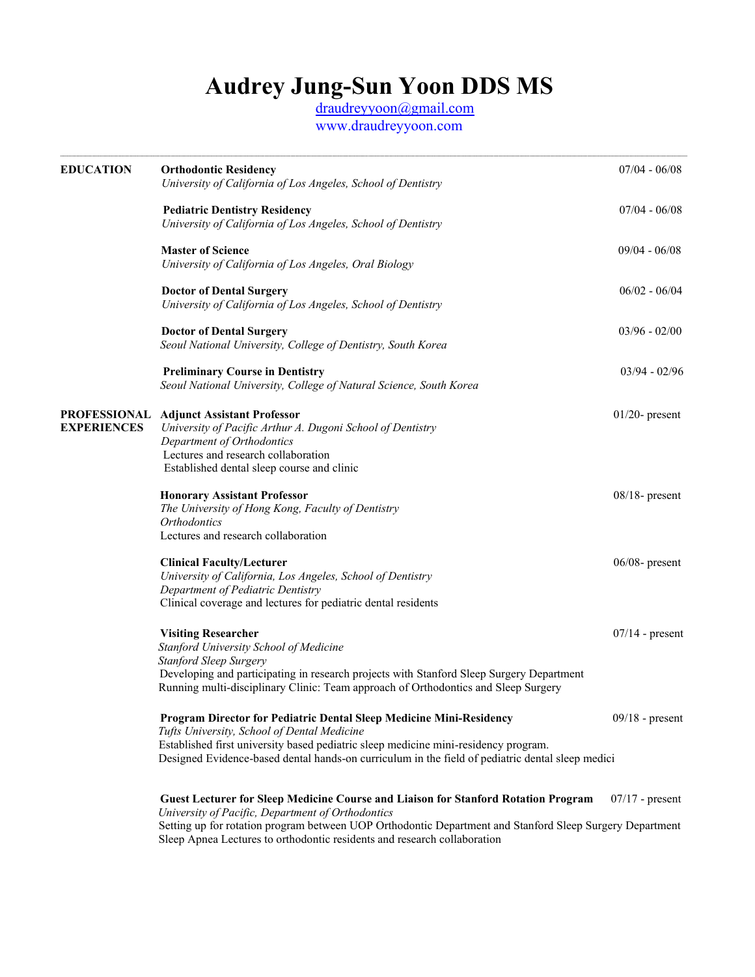# **Audrey Jung-Sun Yoon DDS MS**

 [draudreyyoon@gmail.com](mailto:draudreyyoon@gmail.com) www.draudreyyoon.com

| <b>EDUCATION</b>   | <b>Orthodontic Residency</b><br>University of California of Los Angeles, School of Dentistry                                                                                                                                                                                                                  | $07/04 - 06/08$   |
|--------------------|---------------------------------------------------------------------------------------------------------------------------------------------------------------------------------------------------------------------------------------------------------------------------------------------------------------|-------------------|
|                    | <b>Pediatric Dentistry Residency</b><br>University of California of Los Angeles, School of Dentistry                                                                                                                                                                                                          | $07/04 - 06/08$   |
|                    | <b>Master of Science</b><br>University of California of Los Angeles, Oral Biology                                                                                                                                                                                                                             | $09/04 - 06/08$   |
|                    | <b>Doctor of Dental Surgery</b><br>University of California of Los Angeles, School of Dentistry                                                                                                                                                                                                               | $06/02 - 06/04$   |
|                    | <b>Doctor of Dental Surgery</b><br>Seoul National University, College of Dentistry, South Korea                                                                                                                                                                                                               | $03/96 - 02/00$   |
|                    | <b>Preliminary Course in Dentistry</b><br>Seoul National University, College of Natural Science, South Korea                                                                                                                                                                                                  | $03/94 - 02/96$   |
| <b>EXPERIENCES</b> | <b>PROFESSIONAL Adjunct Assistant Professor</b><br>University of Pacific Arthur A. Dugoni School of Dentistry<br>Department of Orthodontics<br>Lectures and research collaboration<br>Established dental sleep course and clinic                                                                              | $01/20$ - present |
|                    | <b>Honorary Assistant Professor</b><br>The University of Hong Kong, Faculty of Dentistry<br>Orthodontics<br>Lectures and research collaboration                                                                                                                                                               | $08/18$ - present |
|                    | <b>Clinical Faculty/Lecturer</b><br>University of California, Los Angeles, School of Dentistry<br>Department of Pediatric Dentistry<br>Clinical coverage and lectures for pediatric dental residents                                                                                                          | $06/08$ - present |
|                    | <b>Visiting Researcher</b><br>Stanford University School of Medicine<br>Stanford Sleep Surgery<br>Developing and participating in research projects with Stanford Sleep Surgery Department<br>Running multi-disciplinary Clinic: Team approach of Orthodontics and Sleep Surgery                              | $07/14$ - present |
|                    | Program Director for Pediatric Dental Sleep Medicine Mini-Residency<br>Tufts University, School of Dental Medicine<br>Established first university based pediatric sleep medicine mini-residency program.<br>Designed Evidence-based dental hands-on curriculum in the field of pediatric dental sleep medici | $09/18$ - present |
|                    | <b>Guest Lecturer for Sleep Medicine Course and Liaison for Stanford Rotation Program</b>                                                                                                                                                                                                                     | $07/17$ - present |

 *University of Pacific, Department of Orthodontics* Setting up for rotation program between UOP Orthodontic Department and Stanford Sleep Surgery Department Sleep Apnea Lectures to orthodontic residents and research collaboration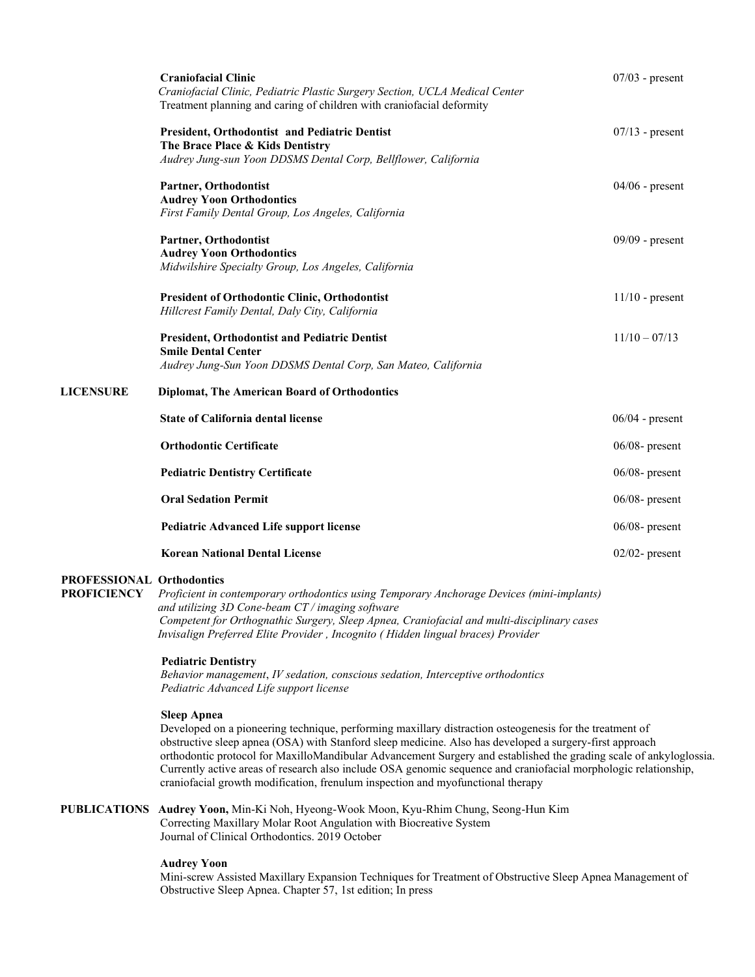|                  | <b>Craniofacial Clinic</b><br>Craniofacial Clinic, Pediatric Plastic Surgery Section, UCLA Medical Center<br>Treatment planning and caring of children with craniofacial deformity | $07/03$ - present |
|------------------|------------------------------------------------------------------------------------------------------------------------------------------------------------------------------------|-------------------|
|                  | <b>President, Orthodontist and Pediatric Dentist</b><br>The Brace Place & Kids Dentistry<br>Audrey Jung-sun Yoon DDSMS Dental Corp, Bellflower, California                         | $07/13$ - present |
|                  | Partner, Orthodontist<br><b>Audrey Yoon Orthodontics</b><br>First Family Dental Group, Los Angeles, California                                                                     | $04/06$ - present |
|                  | Partner, Orthodontist<br><b>Audrey Yoon Orthodontics</b><br>Midwilshire Specialty Group, Los Angeles, California                                                                   | $09/09$ - present |
|                  | <b>President of Orthodontic Clinic, Orthodontist</b><br>Hillcrest Family Dental, Daly City, California                                                                             | $11/10$ - present |
|                  | <b>President, Orthodontist and Pediatric Dentist</b><br><b>Smile Dental Center</b><br>Audrey Jung-Sun Yoon DDSMS Dental Corp, San Mateo, California                                | $11/10 - 07/13$   |
| <b>LICENSURE</b> | <b>Diplomat, The American Board of Orthodontics</b>                                                                                                                                |                   |
|                  | <b>State of California dental license</b>                                                                                                                                          | $06/04$ - present |
|                  | <b>Orthodontic Certificate</b>                                                                                                                                                     | $06/08$ - present |
|                  | <b>Pediatric Dentistry Certificate</b>                                                                                                                                             | $06/08$ - present |
|                  | <b>Oral Sedation Permit</b>                                                                                                                                                        | $06/08$ - present |
|                  | <b>Pediatric Advanced Life support license</b>                                                                                                                                     | $06/08$ - present |
|                  | <b>Korean National Dental License</b>                                                                                                                                              | $02/02$ - present |

### **PROFESSIONAL Orthodontics**

**PROFICIENCY** *Proficient in contemporary orthodontics using Temporary Anchorage Devices (mini-implants) and utilizing 3D Cone-beam CT / imaging software Competent for Orthognathic Surgery, Sleep Apnea, Craniofacial and multi-disciplinary cases Invisalign Preferred Elite Provider , Incognito ( Hidden lingual braces) Provider* 

### **Pediatric Dentistry**

 *Behavior management*, *IV sedation, conscious sedation, Interceptive orthodontics Pediatric Advanced Life support license*

## **Sleep Apnea**

Developed on a pioneering technique, performing maxillary distraction osteogenesis for the treatment of obstructive sleep apnea (OSA) with Stanford sleep medicine. Also has developed a surgery-first approach orthodontic protocol for MaxilloMandibular Advancement Surgery and established the grading scale of ankyloglossia. Currently active areas of research also include OSA genomic sequence and craniofacial morphologic relationship, craniofacial growth modification, frenulum inspection and myofunctional therapy

**PUBLICATIONS Audrey Yoon,** Min-Ki Noh, Hyeong-Wook Moon, Kyu-Rhim Chung, Seong-Hun Kim Correcting Maxillary Molar Root Angulation with Biocreative System Journal of Clinical Orthodontics. 2019 October

### **Audrey Yoon**

Mini-screw Assisted Maxillary Expansion Techniques for Treatment of Obstructive Sleep Apnea Management of Obstructive Sleep Apnea. Chapter 57, 1st edition; In press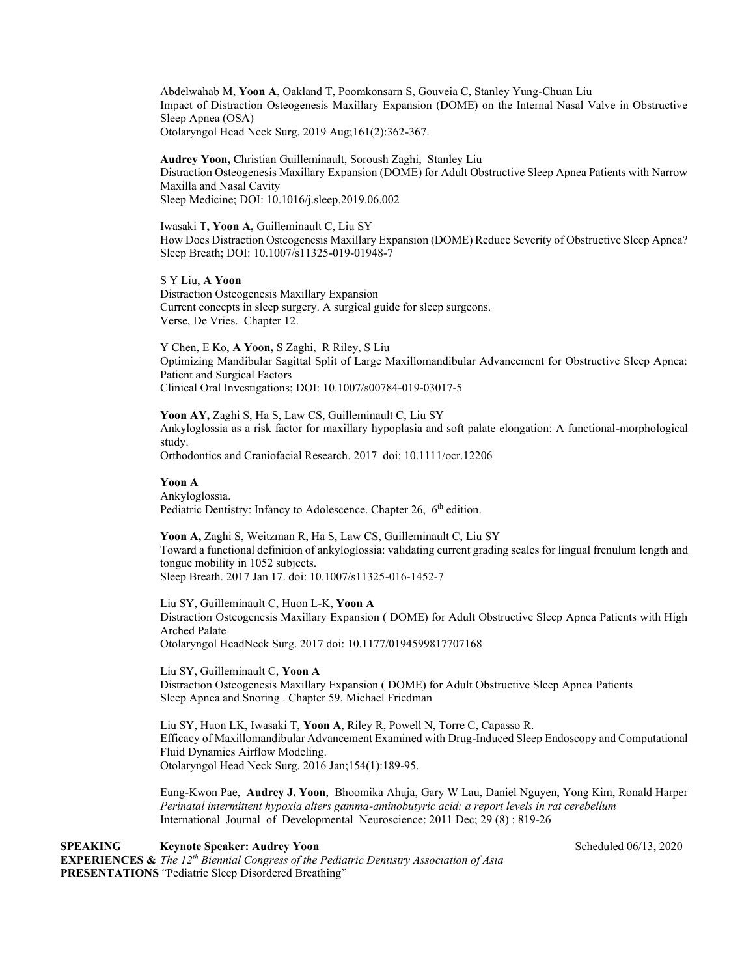Abdelwahab M, **Yoon A**, Oakland T, Poomkonsarn S, Gouveia C, Stanley Yung-Chuan Liu Impact of Distraction Osteogenesis Maxillary Expansion (DOME) on the Internal Nasal Valve in Obstructive Sleep Apnea (OSA) Otolaryngol Head Neck Surg. 2019 Aug;161(2):362-367.

**Audrey Yoon,** Christian Guilleminault, Soroush Zaghi, Stanley Liu Distraction Osteogenesis Maxillary Expansion (DOME) for Adult Obstructive Sleep Apnea Patients with Narrow Maxilla and Nasal Cavity Sleep Medicine; DOI: 10.1016/j.sleep.2019.06.002

Iwasaki T**, Yoon A,** Guilleminault C, Liu SY How Does Distraction Osteogenesis Maxillary Expansion (DOME) Reduce Severity of Obstructive Sleep Apnea? Sleep Breath; DOI: 10.1007/s11325-019-01948-7

S Y Liu, **A Yoon**  Distraction Osteogenesis Maxillary Expansion Current concepts in sleep surgery. A surgical guide for sleep surgeons. Verse, De Vries. Chapter 12.

Y Chen, E Ko, **A Yoon,** S Zaghi, R Riley, S Liu Optimizing Mandibular Sagittal Split of Large Maxillomandibular Advancement for Obstructive Sleep Apnea: Patient and Surgical Factors Clinical Oral Investigations; DOI: 10.1007/s00784-019-03017-5

**Yoon AY,** Zaghi S, Ha S, Law CS, Guilleminault C, Liu SY Ankyloglossia as a risk factor for maxillary hypoplasia and soft palate elongation: A functional-morphological study.

Orthodontics and Craniofacial Research. 2017 doi: 10.1111/ocr.12206

**Yoon A** Ankyloglossia. Pediatric Dentistry: Infancy to Adolescence. Chapter 26, 6<sup>th</sup> edition.

**Yoon A,** Zaghi S, Weitzman R, Ha S, Law CS, Guilleminault C, Liu SY Toward a functional definition of ankyloglossia: validating current grading scales for lingual frenulum length and tongue mobility in 1052 subjects. Sleep Breath. 2017 Jan 17. doi: 10.1007/s11325-016-1452-7

Liu SY, Guilleminault C, Huon L-K, **Yoon A** Distraction Osteogenesis Maxillary Expansion ( DOME) for Adult Obstructive Sleep Apnea Patients with High Arched Palate Otolaryngol HeadNeck Surg. 2017 doi: 10.1177/0194599817707168

Liu SY, Guilleminault C, **Yoon A** Distraction Osteogenesis Maxillary Expansion ( DOME) for Adult Obstructive Sleep Apnea Patients Sleep Apnea and Snoring . Chapter 59. Michael Friedman

Liu SY, Huon LK, Iwasaki T, **Yoon A**, Riley R, Powell N, Torre C, Capasso R. Efficacy of Maxillomandibular Advancement Examined with Drug-Induced Sleep Endoscopy and Computational Fluid Dynamics Airflow Modeling. Otolaryngol Head Neck Surg. 2016 Jan;154(1):189-95.

Eung-Kwon Pae, **Audrey J. Yoon**, Bhoomika Ahuja, Gary W Lau, Daniel Nguyen, Yong Kim, Ronald Harper *Perinatal intermittent hypoxia alters gamma-aminobutyric acid: a report levels in rat cerebellum* International Journal of Developmental Neuroscience: 2011 Dec; 29 (8) : 819-26

**SPEAKING Keynote Speaker: Audrey Yoon Scheduled 06/13, 2020 Scheduled 06/13, 2020 EXPERIENCES &** *The 12th Biennial Congress of the Pediatric Dentistry Association of Asia* **PRESENTATIONS***"*Pediatric Sleep Disordered Breathing"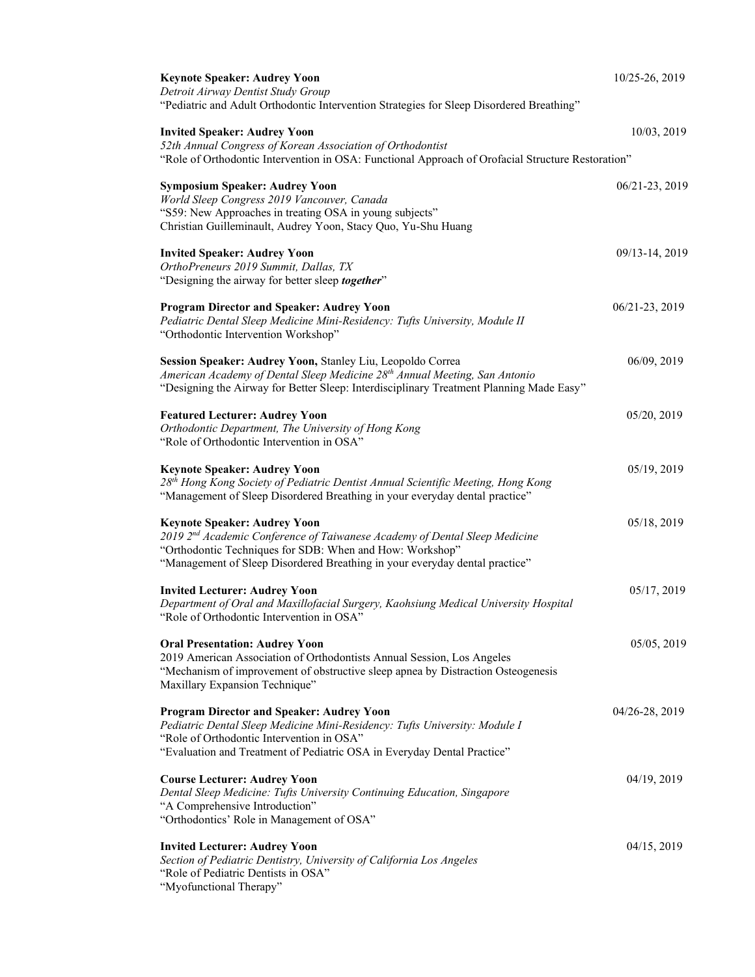| <b>Keynote Speaker: Audrey Yoon</b>                                                                                                                                               | 10/25-26, 2019 |
|-----------------------------------------------------------------------------------------------------------------------------------------------------------------------------------|----------------|
| Detroit Airway Dentist Study Group                                                                                                                                                |                |
| "Pediatric and Adult Orthodontic Intervention Strategies for Sleep Disordered Breathing"                                                                                          |                |
| <b>Invited Speaker: Audrey Yoon</b>                                                                                                                                               | 10/03, 2019    |
| 52th Annual Congress of Korean Association of Orthodontist                                                                                                                        |                |
| "Role of Orthodontic Intervention in OSA: Functional Approach of Orofacial Structure Restoration"                                                                                 |                |
| <b>Symposium Speaker: Audrey Yoon</b>                                                                                                                                             | 06/21-23, 2019 |
| World Sleep Congress 2019 Vancouver, Canada                                                                                                                                       |                |
| "S59: New Approaches in treating OSA in young subjects"                                                                                                                           |                |
| Christian Guilleminault, Audrey Yoon, Stacy Quo, Yu-Shu Huang                                                                                                                     |                |
|                                                                                                                                                                                   |                |
| <b>Invited Speaker: Audrey Yoon</b><br>OrthoPreneurs 2019 Summit, Dallas, TX                                                                                                      | 09/13-14, 2019 |
| "Designing the airway for better sleep together"                                                                                                                                  |                |
|                                                                                                                                                                                   |                |
| <b>Program Director and Speaker: Audrey Yoon</b>                                                                                                                                  | 06/21-23, 2019 |
| Pediatric Dental Sleep Medicine Mini-Residency: Tufts University, Module II                                                                                                       |                |
| "Orthodontic Intervention Workshop"                                                                                                                                               |                |
|                                                                                                                                                                                   |                |
| Session Speaker: Audrey Yoon, Stanley Liu, Leopoldo Correa                                                                                                                        | 06/09, 2019    |
| American Academy of Dental Sleep Medicine 28 <sup>th</sup> Annual Meeting, San Antonio<br>"Designing the Airway for Better Sleep: Interdisciplinary Treatment Planning Made Easy" |                |
|                                                                                                                                                                                   |                |
| <b>Featured Lecturer: Audrey Yoon</b>                                                                                                                                             | 05/20, 2019    |
| Orthodontic Department, The University of Hong Kong                                                                                                                               |                |
| "Role of Orthodontic Intervention in OSA"                                                                                                                                         |                |
|                                                                                                                                                                                   |                |
| <b>Keynote Speaker: Audrey Yoon</b><br>28th Hong Kong Society of Pediatric Dentist Annual Scientific Meeting, Hong Kong                                                           | 05/19, 2019    |
| "Management of Sleep Disordered Breathing in your everyday dental practice"                                                                                                       |                |
|                                                                                                                                                                                   |                |
| <b>Keynote Speaker: Audrey Yoon</b>                                                                                                                                               | 05/18, 2019    |
| 2019 2nd Academic Conference of Taiwanese Academy of Dental Sleep Medicine                                                                                                        |                |
| "Orthodontic Techniques for SDB: When and How: Workshop"                                                                                                                          |                |
| "Management of Sleep Disordered Breathing in your everyday dental practice"                                                                                                       |                |
| <b>Invited Lecturer: Audrey Yoon</b>                                                                                                                                              | 05/17, 2019    |
| Department of Oral and Maxillofacial Surgery, Kaohsiung Medical University Hospital                                                                                               |                |
| "Role of Orthodontic Intervention in OSA"                                                                                                                                         |                |
|                                                                                                                                                                                   |                |
| <b>Oral Presentation: Audrey Yoon</b>                                                                                                                                             | 05/05, 2019    |
| 2019 American Association of Orthodontists Annual Session, Los Angeles<br>"Mechanism of improvement of obstructive sleep apnea by Distraction Osteogenesis                        |                |
| Maxillary Expansion Technique"                                                                                                                                                    |                |
|                                                                                                                                                                                   |                |
| <b>Program Director and Speaker: Audrey Yoon</b>                                                                                                                                  | 04/26-28, 2019 |
| Pediatric Dental Sleep Medicine Mini-Residency: Tufts University: Module I                                                                                                        |                |
| "Role of Orthodontic Intervention in OSA"                                                                                                                                         |                |
| "Evaluation and Treatment of Pediatric OSA in Everyday Dental Practice"                                                                                                           |                |
| <b>Course Lecturer: Audrey Yoon</b>                                                                                                                                               | 04/19, 2019    |
| Dental Sleep Medicine: Tufts University Continuing Education, Singapore                                                                                                           |                |
| "A Comprehensive Introduction"                                                                                                                                                    |                |
| "Orthodontics' Role in Management of OSA"                                                                                                                                         |                |
|                                                                                                                                                                                   |                |
| <b>Invited Lecturer: Audrey Yoon</b><br>Section of Pediatric Dentistry, University of California Los Angeles                                                                      | 04/15, 2019    |
| "Role of Pediatric Dentists in OSA"                                                                                                                                               |                |
| "Myofunctional Therapy"                                                                                                                                                           |                |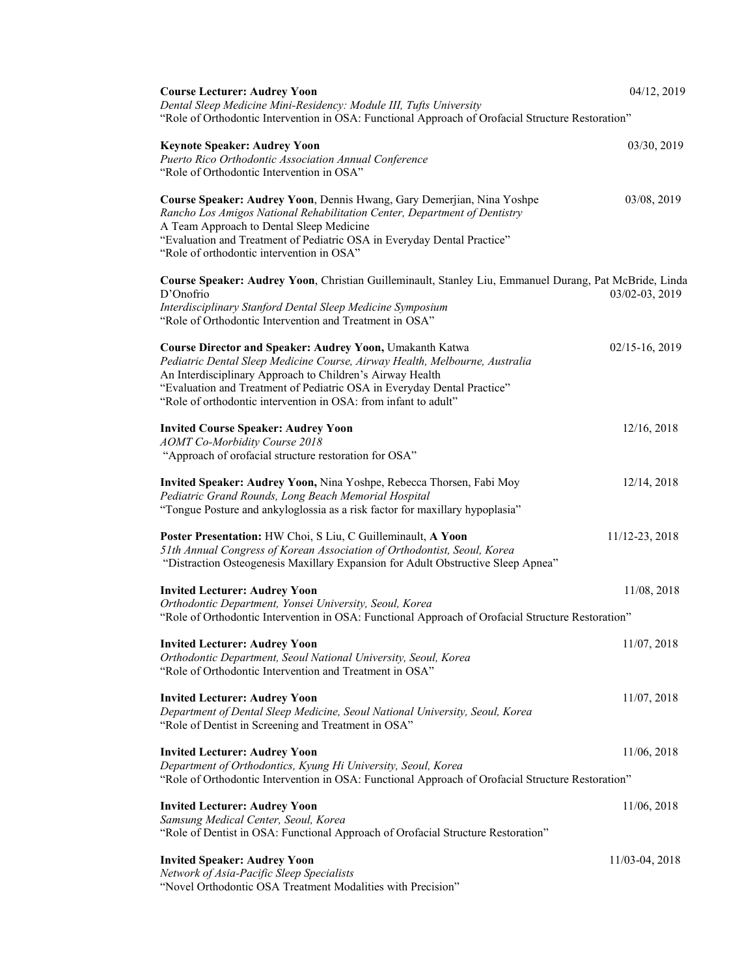| <b>Course Lecturer: Audrey Yoon</b>                                                                                                                                                                                                                                                                                                                       | 04/12, 2019      |
|-----------------------------------------------------------------------------------------------------------------------------------------------------------------------------------------------------------------------------------------------------------------------------------------------------------------------------------------------------------|------------------|
| Dental Sleep Medicine Mini-Residency: Module III, Tufts University<br>"Role of Orthodontic Intervention in OSA: Functional Approach of Orofacial Structure Restoration"                                                                                                                                                                                   |                  |
| <b>Keynote Speaker: Audrey Yoon</b><br>Puerto Rico Orthodontic Association Annual Conference<br>"Role of Orthodontic Intervention in OSA"                                                                                                                                                                                                                 | 03/30, 2019      |
| Course Speaker: Audrey Yoon, Dennis Hwang, Gary Demerjian, Nina Yoshpe<br>Rancho Los Amigos National Rehabilitation Center, Department of Dentistry<br>A Team Approach to Dental Sleep Medicine<br>"Evaluation and Treatment of Pediatric OSA in Everyday Dental Practice"<br>"Role of orthodontic intervention in OSA"                                   | 03/08, 2019      |
| Course Speaker: Audrey Yoon, Christian Guilleminault, Stanley Liu, Emmanuel Durang, Pat McBride, Linda                                                                                                                                                                                                                                                    |                  |
| D'Onofrio<br>Interdisciplinary Stanford Dental Sleep Medicine Symposium<br>"Role of Orthodontic Intervention and Treatment in OSA"                                                                                                                                                                                                                        | 03/02-03, 2019   |
| <b>Course Director and Speaker: Audrey Yoon, Umakanth Katwa</b><br>Pediatric Dental Sleep Medicine Course, Airway Health, Melbourne, Australia<br>An Interdisciplinary Approach to Children's Airway Health<br>"Evaluation and Treatment of Pediatric OSA in Everyday Dental Practice"<br>"Role of orthodontic intervention in OSA: from infant to adult" | $02/15-16, 2019$ |
| <b>Invited Course Speaker: Audrey Yoon</b><br><b>AOMT</b> Co-Morbidity Course 2018                                                                                                                                                                                                                                                                        | 12/16, 2018      |
| "Approach of orofacial structure restoration for OSA"                                                                                                                                                                                                                                                                                                     |                  |
| Invited Speaker: Audrey Yoon, Nina Yoshpe, Rebecca Thorsen, Fabi Moy<br>Pediatric Grand Rounds, Long Beach Memorial Hospital<br>"Tongue Posture and ankyloglossia as a risk factor for maxillary hypoplasia"                                                                                                                                              | 12/14, 2018      |
| Poster Presentation: HW Choi, S Liu, C Guilleminault, A Yoon<br>51th Annual Congress of Korean Association of Orthodontist, Seoul, Korea<br>"Distraction Osteogenesis Maxillary Expansion for Adult Obstructive Sleep Apnea"                                                                                                                              | 11/12-23, 2018   |
| <b>Invited Lecturer: Audrey Yoon</b>                                                                                                                                                                                                                                                                                                                      | 11/08, 2018      |
| Orthodontic Department, Yonsei University, Seoul, Korea<br>"Role of Orthodontic Intervention in OSA: Functional Approach of Orofacial Structure Restoration"                                                                                                                                                                                              |                  |
| <b>Invited Lecturer: Audrey Yoon</b><br>Orthodontic Department, Seoul National University, Seoul, Korea<br>"Role of Orthodontic Intervention and Treatment in OSA"                                                                                                                                                                                        | 11/07, 2018      |
| <b>Invited Lecturer: Audrey Yoon</b><br>Department of Dental Sleep Medicine, Seoul National University, Seoul, Korea<br>"Role of Dentist in Screening and Treatment in OSA"                                                                                                                                                                               | 11/07, 2018      |
| <b>Invited Lecturer: Audrey Yoon</b><br>Department of Orthodontics, Kyung Hi University, Seoul, Korea<br>"Role of Orthodontic Intervention in OSA: Functional Approach of Orofacial Structure Restoration"                                                                                                                                                | 11/06, 2018      |
|                                                                                                                                                                                                                                                                                                                                                           |                  |
| <b>Invited Lecturer: Audrey Yoon</b><br>Samsung Medical Center, Seoul, Korea<br>"Role of Dentist in OSA: Functional Approach of Orofacial Structure Restoration"                                                                                                                                                                                          | 11/06, 2018      |
| <b>Invited Speaker: Audrey Yoon</b><br>Network of Asia-Pacific Sleep Specialists                                                                                                                                                                                                                                                                          | 11/03-04, 2018   |
| "Novel Orthodontic OSA Treatment Modalities with Precision"                                                                                                                                                                                                                                                                                               |                  |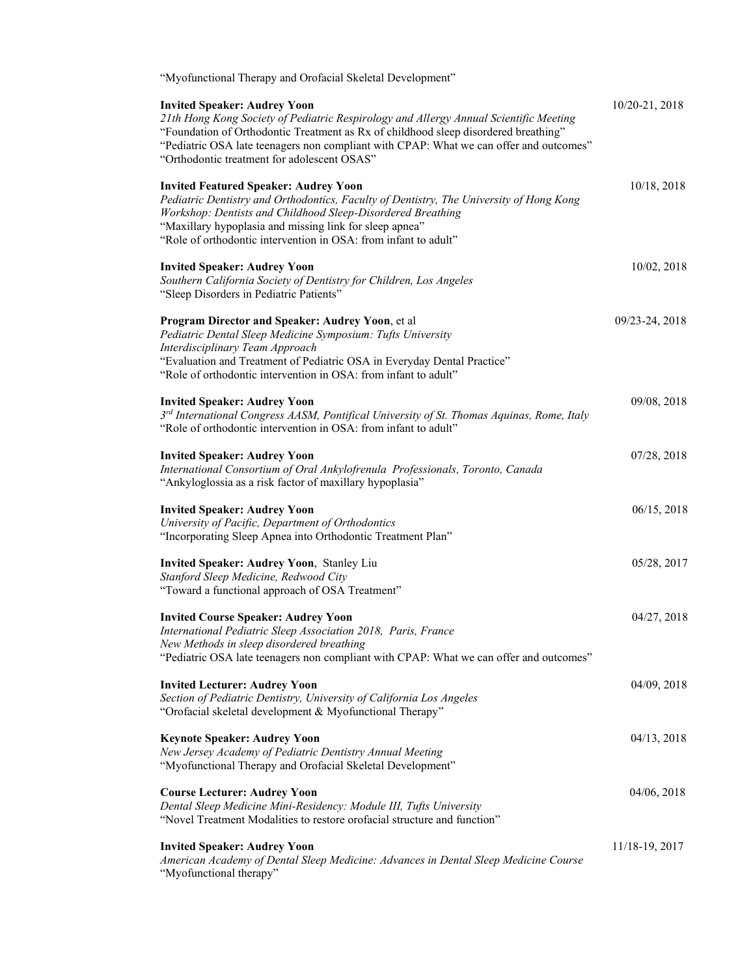| "Myofunctional Therapy and Orofacial Skeletal Development"                                                                                                                                                                                                                                                                                                   |                |
|--------------------------------------------------------------------------------------------------------------------------------------------------------------------------------------------------------------------------------------------------------------------------------------------------------------------------------------------------------------|----------------|
| <b>Invited Speaker: Audrey Yoon</b><br>21th Hong Kong Society of Pediatric Respirology and Allergy Annual Scientific Meeting<br>"Foundation of Orthodontic Treatment as Rx of childhood sleep disordered breathing"<br>"Pediatric OSA late teenagers non compliant with CPAP: What we can offer and outcomes"<br>"Orthodontic treatment for adolescent OSAS" | 10/20-21, 2018 |
| <b>Invited Featured Speaker: Audrey Yoon</b><br>Pediatric Dentistry and Orthodontics, Faculty of Dentistry, The University of Hong Kong<br>Workshop: Dentists and Childhood Sleep-Disordered Breathing<br>"Maxillary hypoplasia and missing link for sleep apnea"<br>"Role of orthodontic intervention in OSA: from infant to adult"                         | 10/18, 2018    |
| <b>Invited Speaker: Audrey Yoon</b><br>Southern California Society of Dentistry for Children, Los Angeles<br>"Sleep Disorders in Pediatric Patients"                                                                                                                                                                                                         | 10/02, 2018    |
| Program Director and Speaker: Audrey Yoon, et al<br>Pediatric Dental Sleep Medicine Symposium: Tufts University<br>Interdisciplinary Team Approach<br>"Evaluation and Treatment of Pediatric OSA in Everyday Dental Practice"<br>"Role of orthodontic intervention in OSA: from infant to adult"                                                             | 09/23-24, 2018 |
| <b>Invited Speaker: Audrey Yoon</b><br>3rd International Congress AASM, Pontifical University of St. Thomas Aquinas, Rome, Italy<br>"Role of orthodontic intervention in OSA: from infant to adult"                                                                                                                                                          | 09/08, 2018    |
| <b>Invited Speaker: Audrey Yoon</b><br>International Consortium of Oral Ankylofrenula Professionals, Toronto, Canada<br>"Ankyloglossia as a risk factor of maxillary hypoplasia"                                                                                                                                                                             | 07/28, 2018    |
| <b>Invited Speaker: Audrey Yoon</b><br>University of Pacific, Department of Orthodontics<br>"Incorporating Sleep Apnea into Orthodontic Treatment Plan"                                                                                                                                                                                                      | 06/15, 2018    |
| Invited Speaker: Audrey Yoon, Stanley Liu<br>Stanford Sleep Medicine, Redwood City<br>"Toward a functional approach of OSA Treatment"                                                                                                                                                                                                                        | 05/28, 2017    |
| <b>Invited Course Speaker: Audrey Yoon</b><br>International Pediatric Sleep Association 2018, Paris, France<br>New Methods in sleep disordered breathing<br>"Pediatric OSA late teenagers non compliant with CPAP: What we can offer and outcomes"                                                                                                           | 04/27, 2018    |
| <b>Invited Lecturer: Audrey Yoon</b><br>Section of Pediatric Dentistry, University of California Los Angeles<br>"Orofacial skeletal development & Myofunctional Therapy"                                                                                                                                                                                     | 04/09, 2018    |
| <b>Keynote Speaker: Audrey Yoon</b><br>New Jersey Academy of Pediatric Dentistry Annual Meeting<br>"Myofunctional Therapy and Orofacial Skeletal Development"                                                                                                                                                                                                | 04/13, 2018    |
| <b>Course Lecturer: Audrey Yoon</b><br>Dental Sleep Medicine Mini-Residency: Module III, Tufts University<br>"Novel Treatment Modalities to restore orofacial structure and function"                                                                                                                                                                        | 04/06, 2018    |
| <b>Invited Speaker: Audrey Yoon</b><br>American Academy of Dental Sleep Medicine: Advances in Dental Sleep Medicine Course<br>"Myofunctional therapy"                                                                                                                                                                                                        | 11/18-19, 2017 |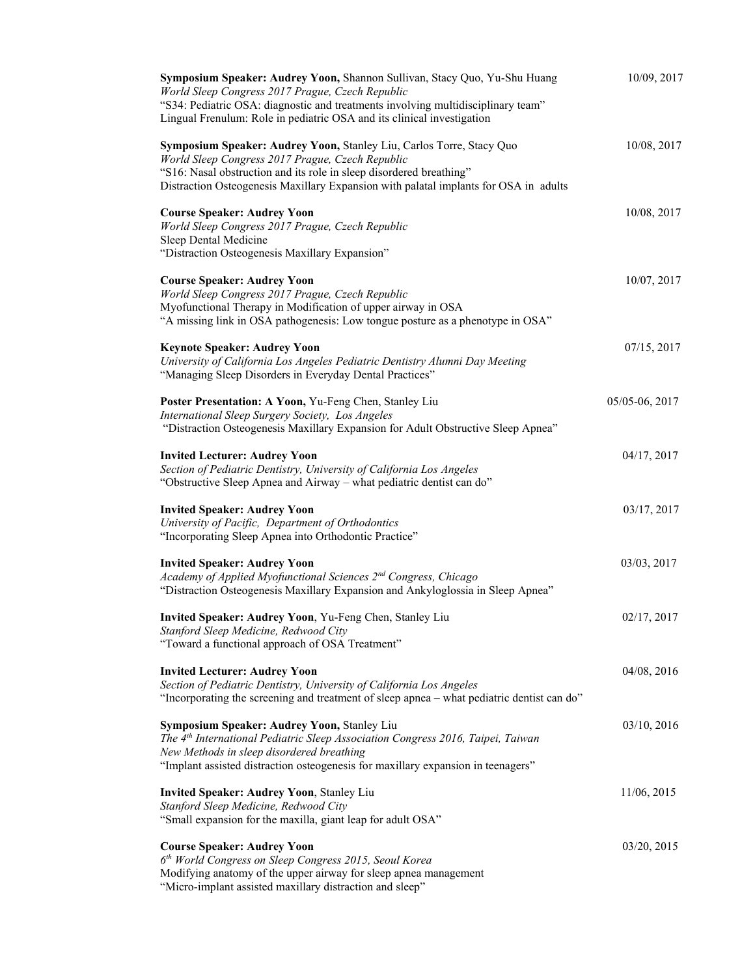| Symposium Speaker: Audrey Yoon, Shannon Sullivan, Stacy Quo, Yu-Shu Huang<br>World Sleep Congress 2017 Prague, Czech Republic<br>"S34: Pediatric OSA: diagnostic and treatments involving multidisciplinary team"<br>Lingual Frenulum: Role in pediatric OSA and its clinical investigation | 10/09, 2017    |
|---------------------------------------------------------------------------------------------------------------------------------------------------------------------------------------------------------------------------------------------------------------------------------------------|----------------|
| Symposium Speaker: Audrey Yoon, Stanley Liu, Carlos Torre, Stacy Quo<br>World Sleep Congress 2017 Prague, Czech Republic<br>"S16: Nasal obstruction and its role in sleep disordered breathing"<br>Distraction Osteogenesis Maxillary Expansion with palatal implants for OSA in adults     | 10/08, 2017    |
| <b>Course Speaker: Audrey Yoon</b><br>World Sleep Congress 2017 Prague, Czech Republic<br>Sleep Dental Medicine<br>"Distraction Osteogenesis Maxillary Expansion"                                                                                                                           | 10/08, 2017    |
| <b>Course Speaker: Audrey Yoon</b><br>World Sleep Congress 2017 Prague, Czech Republic<br>Myofunctional Therapy in Modification of upper airway in OSA<br>"A missing link in OSA pathogenesis: Low tongue posture as a phenotype in OSA"                                                    | 10/07, 2017    |
| <b>Keynote Speaker: Audrey Yoon</b><br>University of California Los Angeles Pediatric Dentistry Alumni Day Meeting<br>"Managing Sleep Disorders in Everyday Dental Practices"                                                                                                               | 07/15, 2017    |
| Poster Presentation: A Yoon, Yu-Feng Chen, Stanley Liu<br>International Sleep Surgery Society, Los Angeles<br>"Distraction Osteogenesis Maxillary Expansion for Adult Obstructive Sleep Apnea"                                                                                              | 05/05-06, 2017 |
| <b>Invited Lecturer: Audrey Yoon</b><br>Section of Pediatric Dentistry, University of California Los Angeles<br>"Obstructive Sleep Apnea and Airway - what pediatric dentist can do"                                                                                                        | 04/17, 2017    |
| <b>Invited Speaker: Audrey Yoon</b><br>University of Pacific, Department of Orthodontics<br>"Incorporating Sleep Apnea into Orthodontic Practice"                                                                                                                                           | 03/17, 2017    |
| <b>Invited Speaker: Audrey Yoon</b><br>Academy of Applied Myofunctional Sciences 2 <sup>nd</sup> Congress, Chicago<br>"Distraction Osteogenesis Maxillary Expansion and Ankyloglossia in Sleep Apnea"                                                                                       | 03/03, 2017    |
| Invited Speaker: Audrey Yoon, Yu-Feng Chen, Stanley Liu<br>Stanford Sleep Medicine, Redwood City<br>"Toward a functional approach of OSA Treatment"                                                                                                                                         | 02/17, 2017    |
| <b>Invited Lecturer: Audrey Yoon</b><br>Section of Pediatric Dentistry, University of California Los Angeles<br>"Incorporating the screening and treatment of sleep apnea – what pediatric dentist can do"                                                                                  | 04/08, 2016    |
| Symposium Speaker: Audrey Yoon, Stanley Liu<br>The 4 <sup>th</sup> International Pediatric Sleep Association Congress 2016, Taipei, Taiwan<br>New Methods in sleep disordered breathing<br>"Implant assisted distraction osteogenesis for maxillary expansion in teenagers"                 | 03/10, 2016    |
| <b>Invited Speaker: Audrey Yoon, Stanley Liu</b><br>Stanford Sleep Medicine, Redwood City<br>"Small expansion for the maxilla, giant leap for adult OSA"                                                                                                                                    | 11/06, 2015    |
| <b>Course Speaker: Audrey Yoon</b><br>6 <sup>th</sup> World Congress on Sleep Congress 2015, Seoul Korea<br>Modifying anatomy of the upper airway for sleep apnea management<br>"Micro-implant assisted maxillary distraction and sleep"                                                    | 03/20, 2015    |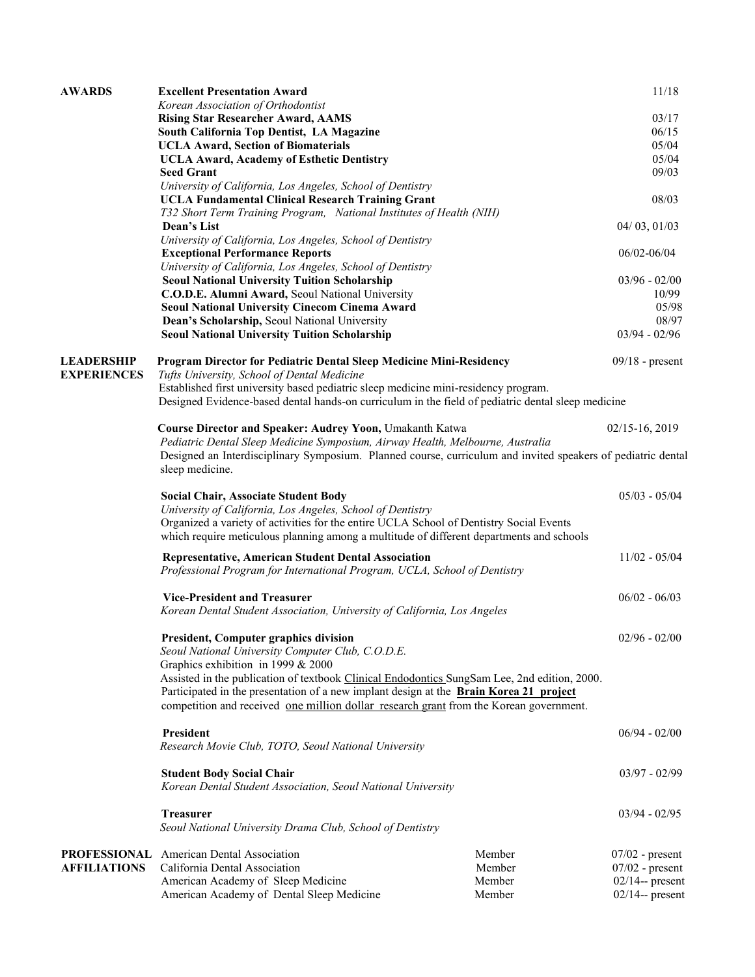| <b>AWARDS</b>                           | <b>Excellent Presentation Award</b>                                                                                                                                                                               |        | 11/18              |
|-----------------------------------------|-------------------------------------------------------------------------------------------------------------------------------------------------------------------------------------------------------------------|--------|--------------------|
|                                         | Korean Association of Orthodontist                                                                                                                                                                                |        |                    |
|                                         | <b>Rising Star Researcher Award, AAMS</b>                                                                                                                                                                         |        | 03/17              |
|                                         | South California Top Dentist, LA Magazine                                                                                                                                                                         |        | 06/15              |
|                                         | <b>UCLA Award, Section of Biomaterials</b>                                                                                                                                                                        |        | 05/04              |
|                                         | <b>UCLA Award, Academy of Esthetic Dentistry</b>                                                                                                                                                                  |        | 05/04              |
|                                         | <b>Seed Grant</b>                                                                                                                                                                                                 |        | 09/03              |
|                                         | University of California, Los Angeles, School of Dentistry                                                                                                                                                        |        |                    |
|                                         | <b>UCLA Fundamental Clinical Research Training Grant</b>                                                                                                                                                          |        | 08/03              |
|                                         | T32 Short Term Training Program, National Institutes of Health (NIH)                                                                                                                                              |        |                    |
|                                         | Dean's List                                                                                                                                                                                                       |        | 04/03, 01/03       |
|                                         | University of California, Los Angeles, School of Dentistry                                                                                                                                                        |        |                    |
|                                         | <b>Exceptional Performance Reports</b>                                                                                                                                                                            |        | 06/02-06/04        |
|                                         | University of California, Los Angeles, School of Dentistry                                                                                                                                                        |        |                    |
|                                         | <b>Seoul National University Tuition Scholarship</b>                                                                                                                                                              |        | $03/96 - 02/00$    |
|                                         | C.O.D.E. Alumni Award, Seoul National University                                                                                                                                                                  |        | 10/99              |
|                                         | <b>Seoul National University Cinecom Cinema Award</b>                                                                                                                                                             |        | 05/98              |
|                                         | Dean's Scholarship, Seoul National University                                                                                                                                                                     |        | 08/97              |
|                                         | <b>Seoul National University Tuition Scholarship</b>                                                                                                                                                              |        | $03/94 - 02/96$    |
| <b>LEADERSHIP</b><br><b>EXPERIENCES</b> | Program Director for Pediatric Dental Sleep Medicine Mini-Residency<br>Tufts University, School of Dental Medicine                                                                                                |        | $09/18$ - present  |
|                                         | Established first university based pediatric sleep medicine mini-residency program.                                                                                                                               |        |                    |
|                                         | Designed Evidence-based dental hands-on curriculum in the field of pediatric dental sleep medicine                                                                                                                |        |                    |
|                                         | Course Director and Speaker: Audrey Yoon, Umakanth Katwa                                                                                                                                                          |        | $02/15-16, 2019$   |
|                                         | Pediatric Dental Sleep Medicine Symposium, Airway Health, Melbourne, Australia<br>Designed an Interdisciplinary Symposium. Planned course, curriculum and invited speakers of pediatric dental<br>sleep medicine. |        |                    |
|                                         | <b>Social Chair, Associate Student Body</b>                                                                                                                                                                       |        | $05/03 - 05/04$    |
|                                         | University of California, Los Angeles, School of Dentistry                                                                                                                                                        |        |                    |
|                                         | Organized a variety of activities for the entire UCLA School of Dentistry Social Events<br>which require meticulous planning among a multitude of different departments and schools                               |        |                    |
|                                         | <b>Representative, American Student Dental Association</b><br>Professional Program for International Program, UCLA, School of Dentistry                                                                           |        | $11/02 - 05/04$    |
|                                         | <b>Vice-President and Treasurer</b>                                                                                                                                                                               |        | $06/02 - 06/03$    |
|                                         | Korean Dental Student Association, University of California, Los Angeles                                                                                                                                          |        |                    |
|                                         |                                                                                                                                                                                                                   |        |                    |
|                                         | <b>President, Computer graphics division</b><br>Seoul National University Computer Club, C.O.D.E.                                                                                                                 |        | $02/96 - 02/00$    |
|                                         | Graphics exhibition in 1999 & 2000                                                                                                                                                                                |        |                    |
|                                         | Assisted in the publication of textbook Clinical Endodontics SungSam Lee, 2nd edition, 2000.                                                                                                                      |        |                    |
|                                         | Participated in the presentation of a new implant design at the Brain Korea 21 project                                                                                                                            |        |                    |
|                                         | competition and received <u>one million dollar research grant</u> from the Korean government.                                                                                                                     |        |                    |
|                                         | <b>President</b>                                                                                                                                                                                                  |        | $06/94 - 02/00$    |
|                                         | Research Movie Club, TOTO, Seoul National University                                                                                                                                                              |        |                    |
|                                         | <b>Student Body Social Chair</b>                                                                                                                                                                                  |        | $03/97 - 02/99$    |
|                                         | Korean Dental Student Association, Seoul National University                                                                                                                                                      |        |                    |
|                                         | <b>Treasurer</b>                                                                                                                                                                                                  |        | $03/94 - 02/95$    |
|                                         | Seoul National University Drama Club, School of Dentistry                                                                                                                                                         |        |                    |
|                                         | <b>PROFESSIONAL</b> American Dental Association                                                                                                                                                                   | Member | $07/02$ - present  |
| <b>AFFILIATIONS</b>                     | California Dental Association                                                                                                                                                                                     | Member | $07/02$ - present  |
|                                         | American Academy of Sleep Medicine                                                                                                                                                                                | Member | $02/14$ -- present |
|                                         | American Academy of Dental Sleep Medicine                                                                                                                                                                         | Member | $02/14$ -- present |